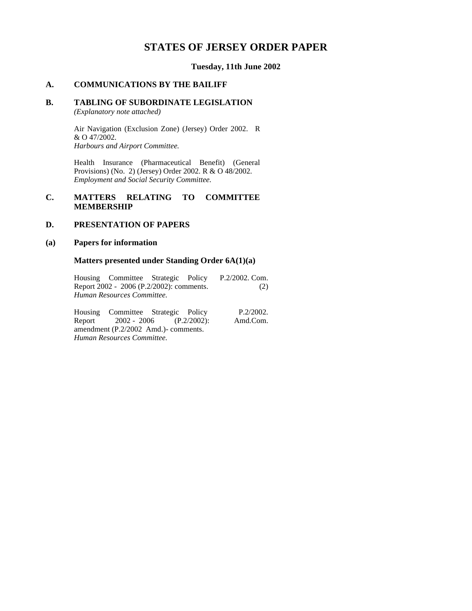# **STATES OF JERSEY ORDER PAPER**

**Tuesday, 11th June 2002**

### **A. COMMUNICATIONS BY THE BAILIFF**

### **B. TABLING OF SUBORDINATE LEGISLATION**

*(Explanatory note attached)*

Air Navigation (Exclusion Zone) (Jersey) Order 2002. R & O 47/2002. *Harbours and Airport Committee.*

Health Insurance (Pharmaceutical Benefit) (General Provisions) (No. 2) (Jersey) Order 2002. R & O 48/2002. *Employment and Social Security Committee.*

### **C. MATTERS RELATING TO COMMITTEE MEMBERSHIP**

### **D. PRESENTATION OF PAPERS**

#### **(a) Papers for information**

#### **Matters presented under Standing Order 6A(1)(a)**

Housing Committee Strategic Policy Report 2002 - 2006 (P.2/2002): comments. *Human Resources Committee.* P.2/2002. Com. (2)

Housing Committee Strategic Policy<br>Report 2002 - 2006 (P.2/2002):  $Report$  2002 - 2006 amendment (P.2/2002 Amd.) - comments. *Human Resources Committee.* P.2/2002. Amd.Com.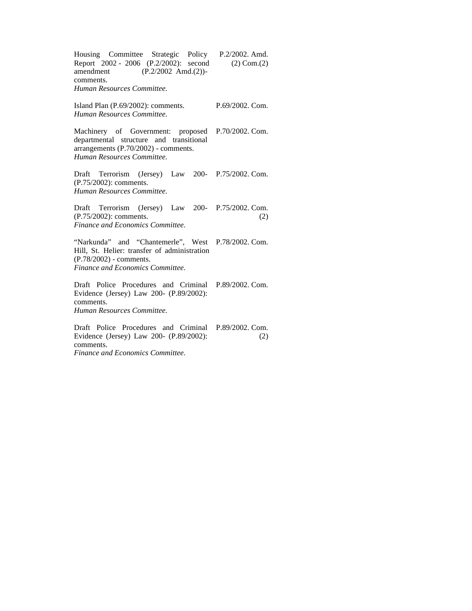| Housing Committee Strategic Policy P.2/2002. Amd.<br>Report 2002 - 2006 (P.2/2002): second<br>amendment $(P.2/2002 \text{ Amd.}(2))$ -<br>comments.<br>Human Resources Committee. | $(2)$ Com. $(2)$ |
|-----------------------------------------------------------------------------------------------------------------------------------------------------------------------------------|------------------|
| Island Plan (P.69/2002): comments.<br>Human Resources Committee.                                                                                                                  | P.69/2002. Com.  |
| Machinery of Government: proposed P.70/2002. Com.<br>departmental structure and transitional<br>arrangements $(P.70/2002)$ - comments.<br>Human Resources Committee.              |                  |
| Terrorism (Jersey) Law 200- P.75/2002. Com.<br>Draft<br>(P.75/2002): comments.<br>Human Resources Committee.                                                                      |                  |
| Draft Terrorism (Jersey) Law 200- P.75/2002. Com.<br>(P.75/2002): comments.<br>Finance and Economics Committee.                                                                   | (2)              |
| "Narkunda" and "Chantemerle", West P.78/2002. Com.<br>Hill, St. Helier: transfer of administration<br>(P.78/2002) - comments.<br>Finance and Economics Committee.                 |                  |
| Draft Police Procedures and Criminal P.89/2002. Com.<br>Evidence (Jersey) Law 200- (P.89/2002):<br>comments.<br>Human Resources Committee.                                        |                  |
| Draft Police Procedures and Criminal P.89/2002. Com.<br>Evidence (Jersey) Law 200- (P.89/2002):<br>comments.                                                                      | (2)              |

*Finance and Economics Committee.*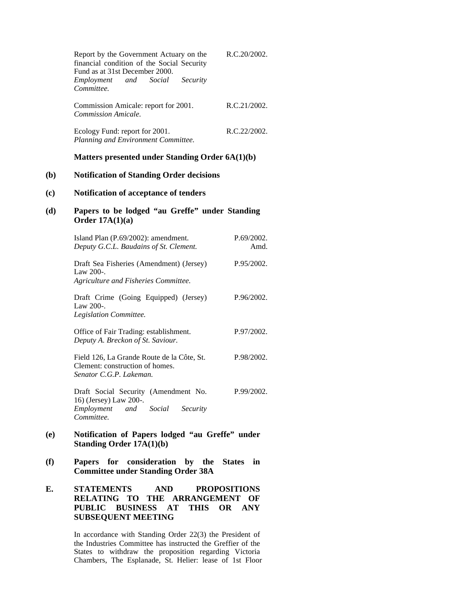|     | Report by the Government Actuary on the<br>financial condition of the Social Security<br>Fund as at 31st December 2000.<br>and<br>Social<br>Security<br>Employment<br>Committee. | R.C.20/2002.        |
|-----|----------------------------------------------------------------------------------------------------------------------------------------------------------------------------------|---------------------|
|     | Commission Amicale: report for 2001.<br>Commission Amicale.                                                                                                                      | R.C.21/2002.        |
|     | Ecology Fund: report for 2001.<br>Planning and Environment Committee.                                                                                                            | R.C.22/2002.        |
|     | Matters presented under Standing Order 6A(1)(b)                                                                                                                                  |                     |
| (b) | <b>Notification of Standing Order decisions</b>                                                                                                                                  |                     |
| (c) | Notification of acceptance of tenders                                                                                                                                            |                     |
| (d) | Papers to be lodged "au Greffe" under Standing<br>Order $17A(1)(a)$                                                                                                              |                     |
|     | Island Plan (P.69/2002): amendment.<br>Deputy G.C.L. Baudains of St. Clement.                                                                                                    | P.69/2002.<br>Amd.  |
|     | Draft Sea Fisheries (Amendment) (Jersey)<br>Law $200$ -.<br>Agriculture and Fisheries Committee.                                                                                 | P.95/2002.          |
|     | Draft Crime (Going Equipped) (Jersey)<br>Law 200-.<br>Legislation Committee.                                                                                                     | P.96/2002.          |
|     | Office of Fair Trading: establishment.<br>Deputy A. Breckon of St. Saviour.                                                                                                      | P.97/2002.          |
|     | Field 126, La Grande Route de la Côte, St.<br>Clement: construction of homes.<br>Senator C.G.P. Lakeman.                                                                         | P.98/2002.          |
|     | Draft Social Security (Amendment No.<br>16) (Jersey) Law 200-.<br>and Social Security<br>Employment<br>Committee.                                                                | P.99/2002.          |
| (e) | Notification of Papers lodged "au Greffe" under<br><b>Standing Order 17A(1)(b)</b>                                                                                               |                     |
| (f) | for<br><b>Papers</b><br>consideration<br>by the<br><b>Committee under Standing Order 38A</b>                                                                                     | <b>States</b><br>in |

**E. STATEMENTS AND PROPOSITIONS RELATING TO THE ARRANGEMENT OF PUBLIC BUSINESS AT THIS OR ANY SUBSEQUENT MEETING**

> In accordance with Standing Order 22(3) the President of the Industries Committee has instructed the Greffier of the States to withdraw the proposition regarding Victoria Chambers, The Esplanade, St. Helier: lease of 1st Floor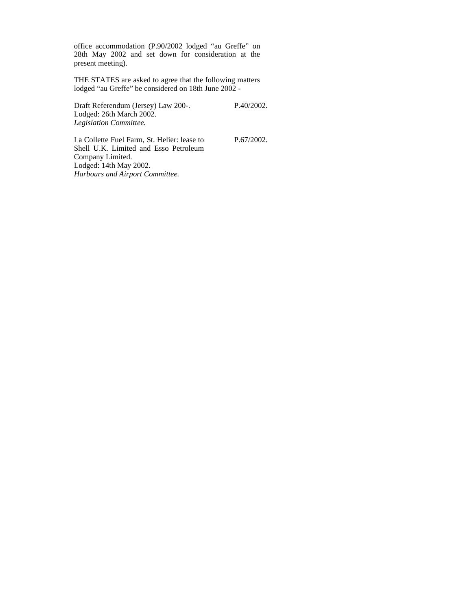office accommodation (P.90/2002 lodged "au Greffe" on 28th May 2002 and set down for consideration at the present meeting).

THE STATES are asked to agree that the following matters lodged "au Greffe" be considered on 18th June 2002 -

Draft Referendum (Jersey) Law 200-. Lodged: 26th March 2002. *Legislation Committee.*

P.40/2002.

P.67/2002.

La Collette Fuel Farm, St. Helier: lease to Shell U.K. Limited and Esso Petroleum Company Limited. Lodged: 14th May 2002. *Harbours and Airport Committee.*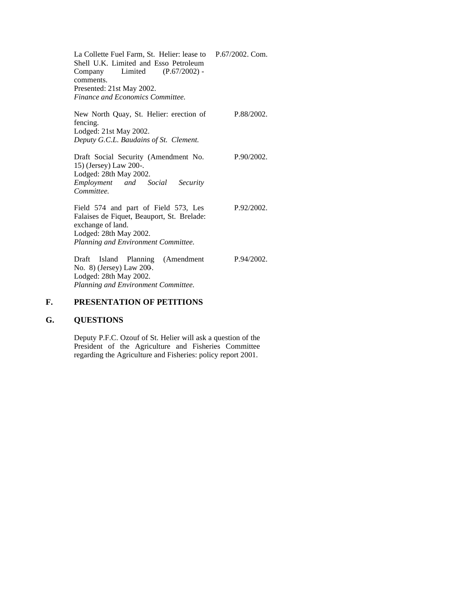La Collette Fuel Farm, St. Helier: lease to Shell U.K. Limited and Esso Petroleum<br>Company Limited (P.67/2002) - $(P.67/2002)$  comments. Presented: 21st May 2002. *Finance and Economics Committee.* P.67/2002. Com.

P.88/2002.

P.90/2002.

P.92/2002.

P.94/2002.

New North Quay, St. Helier: erection of fencing. Lodged: 21st May 2002. *Deputy G.C.L. Baudains of St. Clement.*

Draft Social Security (Amendment No. 15) (Jersey) Law 200-. Lodged: 28th May 2002. *Employment and Social Security Committee.*

Field 574 and part of Field 573, Les Falaises de Fiquet, Beauport, St. Brelade: exchange of land. Lodged: 28th May 2002. *Planning and Environment Committee.*

Draft Island Planning (Amendment No. 8) (Jersey) Law 200-. Lodged: 28th May 2002. *Planning and Environment Committee.*

## **F. PRESENTATION OF PETITIONS**

### **G. QUESTIONS**

Deputy P.F.C. Ozouf of St. Helier will ask a question of the President of the Agriculture and Fisheries Committee regarding the Agriculture and Fisheries: policy report 2001.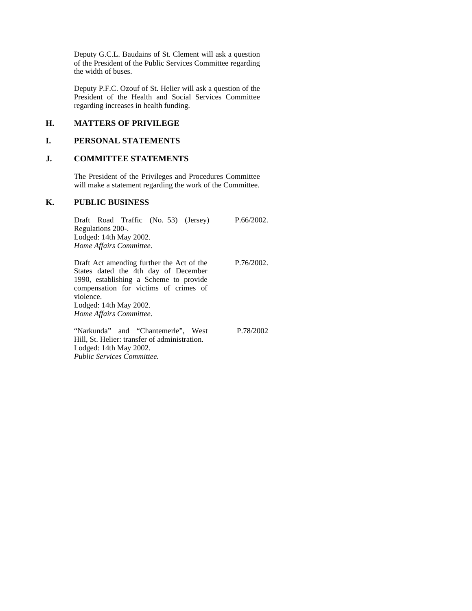Deputy G.C.L. Baudains of St. Clement will ask a question of the President of the Public Services Committee regarding the width of buses.

Deputy P.F.C. Ozouf of St. Helier will ask a question of the President of the Health and Social Services Committee regarding increases in health funding.

### **H. MATTERS OF PRIVILEGE**

### **I. PERSONAL STATEMENTS**

### **J. COMMITTEE STATEMENTS**

The President of the Privileges and Procedures Committee will make a statement regarding the work of the Committee.

#### **K. PUBLIC BUSINESS**

Draft Road Traffic (No. 53) (Jersey) Regulations 200-. Lodged: 14th May 2002. *Home Affairs Committee.* P.66/2002. Draft Act amending further the Act of the P.76/2002.

States dated the 4th day of December 1990, establishing a Scheme to provide compensation for victims of crimes of violence. Lodged: 14th May 2002. *Home Affairs Committee.*

"Narkunda" and "Chantemerle", West Hill, St. Helier: transfer of administration. Lodged: 14th May 2002. *Public Services Committee.*

P.78/2002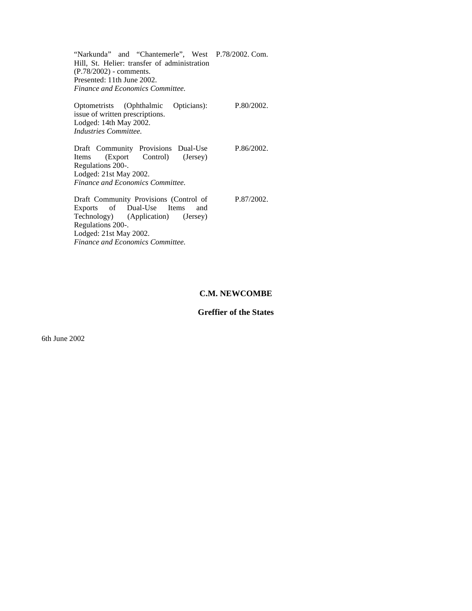"Narkunda" and "Chantemerle", West P.78/2002. Com. Hill, St. Helier: transfer of administration (P.78/2002) - comments. Presented: 11th June 2002. *Finance and Economics Committee.*

Optometrists (Ophthalmic Opticians): issue of written prescriptions. Lodged: 14th May 2002. *Industries Committee.* P.80/2002. Draft Community Provisions Dual-Use Items (Export Control) (Jersey) Regulations 200-. Lodged: 21st May 2002. *Finance and Economics Committee.* P.86/2002.

Draft Community Provisions (Control of Exports of Dual-Use Items and Exports of Dual-Use<br>Technology) (Application (Application) (Jersey) Regulations 200-. Lodged: 21st May 2002. *Finance and Economics Committee.*

P.87/2002.

#### **C.M. NEWCOMBE**

#### **Greffier of the States**

6th June 2002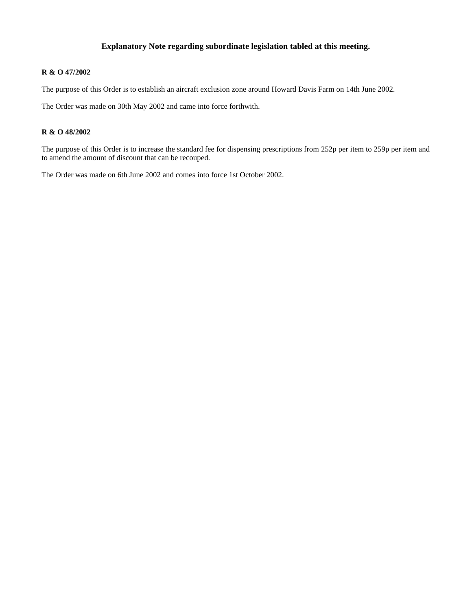### **Explanatory Note regarding subordinate legislation tabled at this meeting.**

### **R & O 47/2002**

The purpose of this Order is to establish an aircraft exclusion zone around Howard Davis Farm on 14th June 2002.

The Order was made on 30th May 2002 and came into force forthwith.

#### **R & O 48/2002**

The purpose of this Order is to increase the standard fee for dispensing prescriptions from 252p per item to 259p per item and to amend the amount of discount that can be recouped.

The Order was made on 6th June 2002 and comes into force 1st October 2002.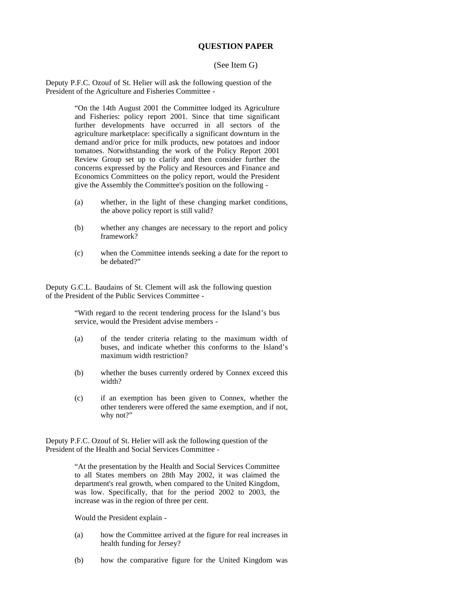#### **QUESTION PAPER**

#### (See Item G)

Deputy P.F.C. Ozouf of St. Helier will ask the following question of the President of the Agriculture and Fisheries Committee -

> "On the 14th August 2001 the Committee lodged its Agriculture and Fisheries: policy report 2001. Since that time significant further developments have occurred in all sectors of the agriculture marketplace: specifically a significant downturn in the demand and/or price for milk products, new potatoes and indoor tomatoes. Notwithstanding the work of the Policy Report 2001 Review Group set up to clarify and then consider further the concerns expressed by the Policy and Resources and Finance and Economics Committees on the policy report, would the President give the Assembly the Committee's position on the following -

- (a) whether, in the light of these changing market conditions, the above policy report is still valid?
- (b) whether any changes are necessary to the report and policy framework?
- (c) when the Committee intends seeking a date for the report to be debated?"

Deputy G.C.L. Baudains of St. Clement will ask the following question of the President of the Public Services Committee -

> "With regard to the recent tendering process for the Island's bus service, would the President advise members -

- (a) of the tender criteria relating to the maximum width of buses, and indicate whether this conforms to the Island's maximum width restriction?
- (b) whether the buses currently ordered by Connex exceed this width?
- (c) if an exemption has been given to Connex, whether the other tenderers were offered the same exemption, and if not, why not?"

Deputy P.F.C. Ozouf of St. Helier will ask the following question of the President of the Health and Social Services Committee -

> "At the presentation by the Health and Social Services Committee to all States members on 28th May 2002, it was claimed the department's real growth, when compared to the United Kingdom, was low. Specifically, that for the period 2002 to 2003, the increase was in the region of three per cent.

Would the President explain -

- (a) how the Committee arrived at the figure for real increases in health funding for Jersey?
- (b) how the comparative figure for the United Kingdom was